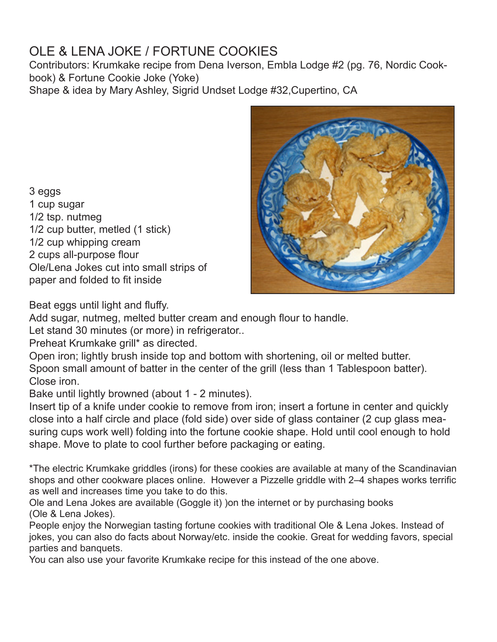# OLE & LENA JOKE / FORTUNE COOKIES

Contributors: Krumkake recipe from Dena Iverson, Embla Lodge #2 (pg. 76, Nordic Cookbook) & Fortune Cookie Joke (Yoke)

Shape & idea by Mary Ashley, Sigrid Undset Lodge #32,Cupertino, CA

3 eggs 1 cup sugar 1/2 tsp. nutmeg 1/2 cup butter, metled (1 stick) 1/2 cup whipping cream 2 cups all-purpose flour Ole/Lena Jokes cut into small strips of paper and folded to fit inside



Beat eggs until light and fluffy.

Add sugar, nutmeg, melted butter cream and enough flour to handle.

Let stand 30 minutes (or more) in refrigerator..

Preheat Krumkake grill\* as directed.

Open iron; lightly brush inside top and bottom with shortening, oil or melted butter. Spoon small amount of batter in the center of the grill (less than 1 Tablespoon batter). Close iron.

Bake until lightly browned (about 1 - 2 minutes).

Insert tip of a knife under cookie to remove from iron; insert a fortune in center and quickly close into a half circle and place (fold side) over side of glass container (2 cup glass measuring cups work well) folding into the fortune cookie shape. Hold until cool enough to hold shape. Move to plate to cool further before packaging or eating.

\*The electric Krumkake griddles (irons) for these cookies are available at many of the Scandinavian shops and other cookware places online. However a Pizzelle griddle with 2–4 shapes works terrific as well and increases time you take to do this.

Ole and Lena Jokes are available (Goggle it) )on the internet or by purchasing books (Ole & Lena Jokes).

People enjoy the Norwegian tasting fortune cookies with traditional Ole & Lena Jokes. Instead of jokes, you can also do facts about Norway/etc. inside the cookie. Great for wedding favors, special parties and banquets.

You can also use your favorite Krumkake recipe for this instead of the one above.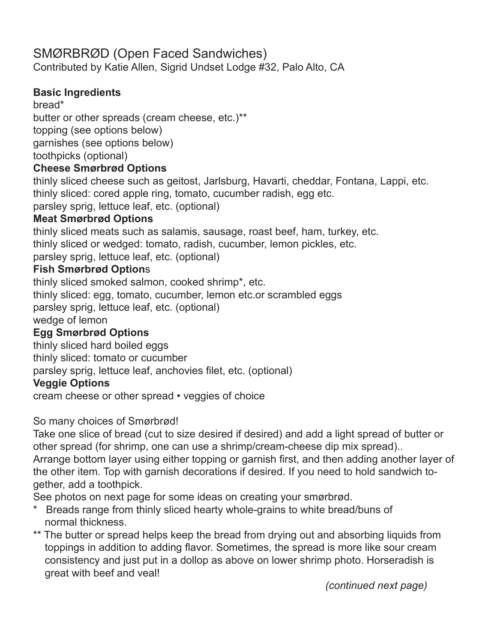## SMØRBRØD (Open Faced Sandwiches)

Contributed by Katie Allen, Sigrid Undset Lodge #32, Palo Alto, CA

### **Basic Ingredients**

bread\*

butter or other spreads (cream cheese, etc.)\*\* topping (see options below) garnishes (see options below) toothpicks (optional)

### **Cheese Smørbrød Options**

thinly sliced cheese such as geitost, Jarlsburg, Havarti, cheddar, Fontana, Lappi, etc. thinly sliced: cored apple ring, tomato, cucumber radish, egg etc.

parsley sprig, lettuce leaf, etc. (optional)

### **Meat Smørbrød Options**

thinly sliced meats such as salamis, sausage, roast beef, ham, turkey, etc. thinly sliced or wedged: tomato, radish, cucumber, lemon pickles, etc. parsley sprig, lettuce leaf, etc. (optional)

### **Fish Smørbrød Option**s

thinly sliced smoked salmon, cooked shrimp\*, etc. thinly sliced: egg, tomato, cucumber, lemon etc.or scrambled eggs parsley sprig, lettuce leaf, etc. (optional) wedge of lemon

### **Egg Smørbrød Options**

thinly sliced hard boiled eggs

thinly sliced: tomato or cucumber

parsley sprig, lettuce leaf, anchovies filet, etc. (optional)

### **Veggie Options**

cream cheese or other spread • veggies of choice

So many choices of Smørbrød!

Take one slice of bread (cut to size desired if desired) and add a light spread of butter or other spread (for shrimp, one can use a shrimp/cream-cheese dip mix spread)..

Arrange bottom layer using either topping or garnish first, and then adding another layer of the other item. Top with garnish decorations if desired. If you need to hold sandwich together, add a toothpick.

See photos on next page for some ideas on creating your smørbrød.

- \* Breads range from thinly sliced hearty whole-grains to white bread/buns of normal thickness.
- \*\* The butter or spread helps keep the bread from drying out and absorbing liquids from toppings in addition to adding flavor. Sometimes, the spread is more like sour cream consistency and just put in a dollop as above on lower shrimp photo. Horseradish is great with beef and veal!

 *(continued next page)*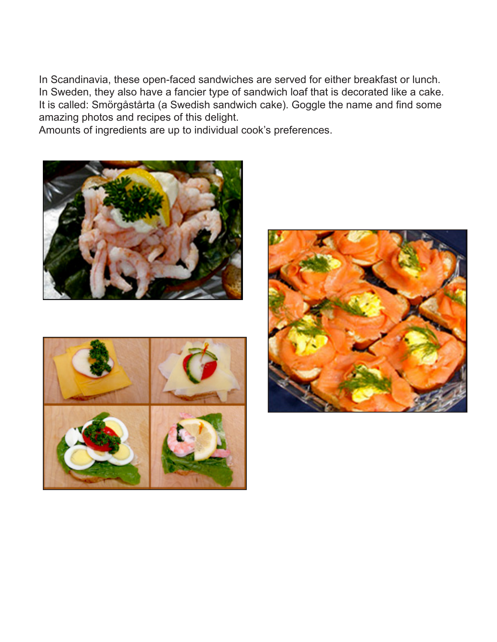In Scandinavia, these open-faced sandwiches are served for either breakfast or lunch. In Sweden, they also have a fancier type of sandwich loaf that is decorated like a cake. It is called: Smörgåstårta (a Swedish sandwich cake). Goggle the name and find some amazing photos and recipes of this delight.

Amounts of ingredients are up to individual cook's preferences.





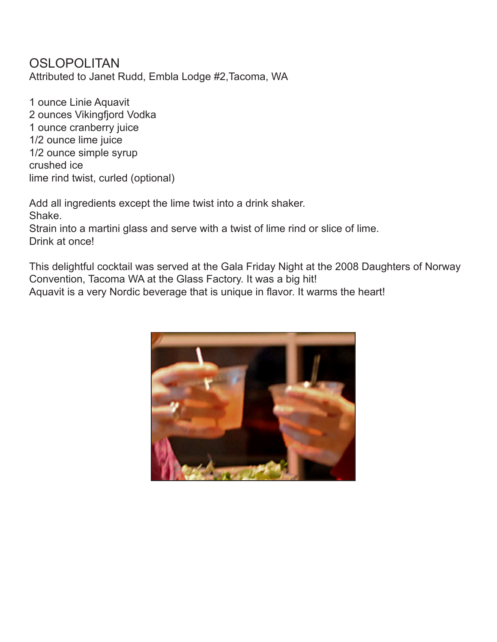### **OSLOPOLITAN** Attributed to Janet Rudd, Embla Lodge #2,Tacoma, WA

1 ounce Linie Aquavit 2 ounces Vikingfjord Vodka 1 ounce cranberry juice 1/2 ounce lime juice 1/2 ounce simple syrup crushed ice lime rind twist, curled (optional)

Add all ingredients except the lime twist into a drink shaker. Shake. Strain into a martini glass and serve with a twist of lime rind or slice of lime. Drink at once!

This delightful cocktail was served at the Gala Friday Night at the 2008 Daughters of Norway Convention, Tacoma WA at the Glass Factory. It was a big hit! Aquavit is a very Nordic beverage that is unique in flavor. It warms the heart!

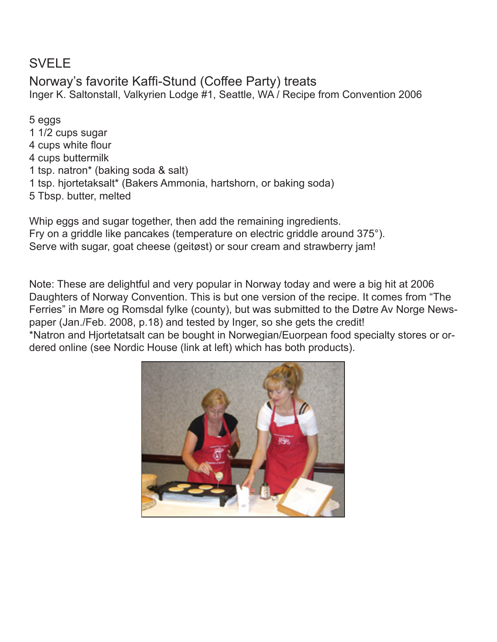## SVELE

### Norway's favorite Kaffi-Stund (Coffee Party) treats Inger K. Saltonstall, Valkyrien Lodge #1, Seattle, WA / Recipe from Convention 2006

5 eggs 1 1/2 cups sugar 4 cups white flour 4 cups buttermilk 1 tsp. natron\* (baking soda & salt) 1 tsp. hjortetaksalt\* (Bakers Ammonia, hartshorn, or baking soda) 5 Tbsp. butter, melted

Whip eggs and sugar together, then add the remaining ingredients. Fry on a griddle like pancakes (temperature on electric griddle around 375°). Serve with sugar, goat cheese (geitøst) or sour cream and strawberry jam!

Note: These are delightful and very popular in Norway today and were a big hit at 2006 Daughters of Norway Convention. This is but one version of the recipe. It comes from "The Ferries" in Møre og Romsdal fylke (county), but was submitted to the Døtre Av Norge Newspaper (Jan./Feb. 2008, p.18) and tested by Inger, so she gets the credit! \*Natron and Hjortetatsalt can be bought in Norwegian/Euorpean food specialty stores or ordered online (see Nordic House (link at left) which has both products).

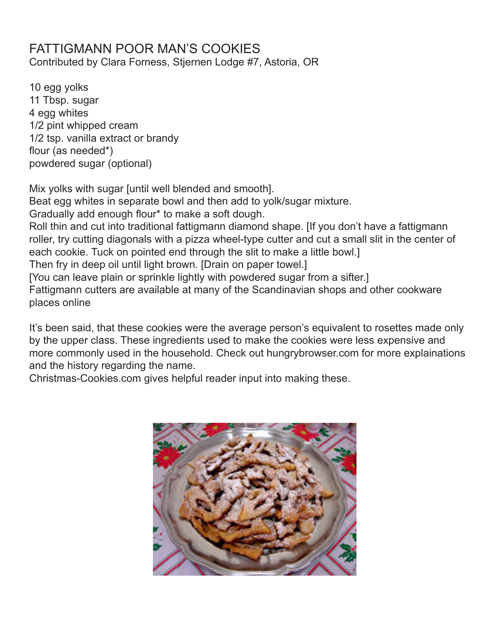## FATTIGMANN POOR MAN'S COOKIES

Contributed by Clara Forness, Stjernen Lodge #7, Astoria, OR

10 egg yolks 11 Tbsp. sugar 4 egg whites 1/2 pint whipped cream 1/2 tsp. vanilla extract or brandy flour (as needed\*) powdered sugar (optional)

Mix yolks with sugar [until well blended and smooth].

Beat egg whites in separate bowl and then add to yolk/sugar mixture.

Gradually add enough flour\* to make a soft dough.

Roll thin and cut into traditional fattigmann diamond shape. [If you don't have a fattigmann roller, try cutting diagonals with a pizza wheel-type cutter and cut a small slit in the center of each cookie. Tuck on pointed end through the slit to make a little bowl.]

Then fry in deep oil until light brown. [Drain on paper towel.]

[You can leave plain or sprinkle lightly with powdered sugar from a sifter.]

Fattigmann cutters are available at many of the Scandinavian shops and other cookware places online

It's been said, that these cookies were the average person's equivalent to rosettes made only by the upper class. These ingredients used to make the cookies were less expensive and more commonly used in the household. Check out hungrybrowser.com for more explainations and the history regarding the name.

Christmas-Cookies.com gives helpful reader input into making these.

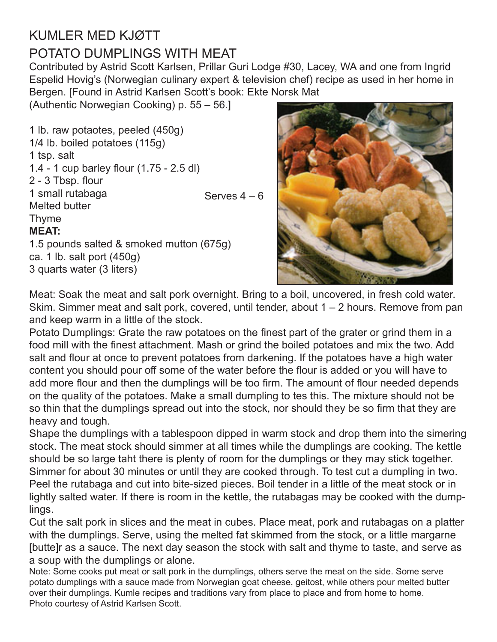# KUMLER MED KJØTT POTATO DUMPLINGS WITH MEAT

Contributed by Astrid Scott Karlsen, Prillar Guri Lodge #30, Lacey, WA and one from Ingrid Espelid Hovig's (Norwegian culinary expert & television chef) recipe as used in her home in Bergen. [Found in Astrid Karlsen Scott's book: Ekte Norsk Mat

(Authentic Norwegian Cooking) p. 55 – 56.]

1 lb. raw potaotes, peeled (450g) 1/4 lb. boiled potatoes (115g) 1 tsp. salt 1.4 - 1 cup barley flour (1.75 - 2.5 dl) 2 - 3 Tbsp. flour 1 small rutabaga Melted butter Thyme **MEAT:** 1.5 pounds salted & smoked mutton (675g) ca. 1 lb. salt port (450g) 3 quarts water (3 liters) Serves 4 – 6



Meat: Soak the meat and salt pork overnight. Bring to a boil, uncovered, in fresh cold water. Skim. Simmer meat and salt pork, covered, until tender, about  $1 - 2$  hours. Remove from pan and keep warm in a little of the stock.

Potato Dumplings: Grate the raw potatoes on the finest part of the grater or grind them in a food mill with the finest attachment. Mash or grind the boiled potatoes and mix the two. Add salt and flour at once to prevent potatoes from darkening. If the potatoes have a high water content you should pour off some of the water before the flour is added or you will have to add more flour and then the dumplings will be too firm. The amount of flour needed depends on the quality of the potatoes. Make a small dumpling to tes this. The mixture should not be so thin that the dumplings spread out into the stock, nor should they be so firm that they are heavy and tough.

Shape the dumplings with a tablespoon dipped in warm stock and drop them into the simering stock. The meat stock should simmer at all times while the dumplings are cooking. The kettle should be so large taht there is plenty of room for the dumplings or they may stick together. Simmer for about 30 minutes or until they are cooked through. To test cut a dumpling in two. Peel the rutabaga and cut into bite-sized pieces. Boil tender in a little of the meat stock or in lightly salted water. If there is room in the kettle, the rutabagas may be cooked with the dumplings.

Cut the salt pork in slices and the meat in cubes. Place meat, pork and rutabagas on a platter with the dumplings. Serve, using the melted fat skimmed from the stock, or a little margarne [butte]r as a sauce. The next day season the stock with salt and thyme to taste, and serve as a soup with the dumplings or alone.

Note: Some cooks put meat or salt pork in the dumplings, others serve the meat on the side. Some serve potato dumplings with a sauce made from Norwegian goat cheese, geitost, while others pour melted butter over their dumplings. Kumle recipes and traditions vary from place to place and from home to home. Photo courtesy of Astrid Karlsen Scott.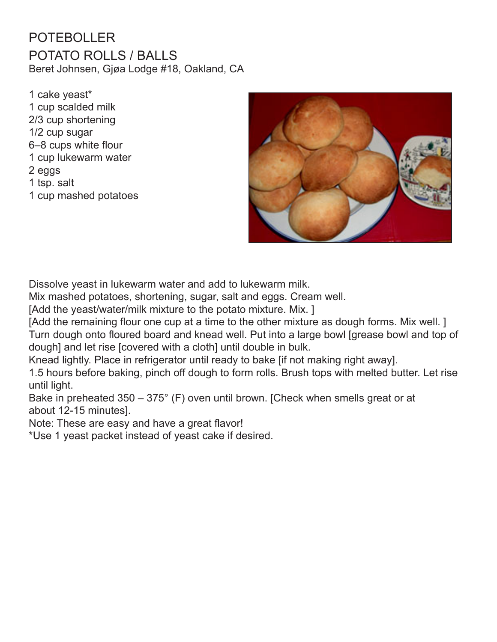## POTEBOLLER POTATO ROLLS / BALLS Beret Johnsen, Gjøa Lodge #18, Oakland, CA

1 cake yeast\* 1 cup scalded milk 2/3 cup shortening 1/2 cup sugar 6–8 cups white flour 1 cup lukewarm water 2 eggs 1 tsp. salt 1 cup mashed potatoes



Dissolve yeast in lukewarm water and add to lukewarm milk.

Mix mashed potatoes, shortening, sugar, salt and eggs. Cream well.

[Add the yeast/water/milk mixture to the potato mixture. Mix.]

[Add the remaining flour one cup at a time to the other mixture as dough forms. Mix well.] Turn dough onto floured board and knead well. Put into a large bowl [grease bowl and top of dough] and let rise [covered with a cloth] until double in bulk.

Knead lightly. Place in refrigerator until ready to bake [if not making right away].

1.5 hours before baking, pinch off dough to form rolls. Brush tops with melted butter. Let rise until light.

Bake in preheated 350 – 375° (F) oven until brown. [Check when smells great or at about 12-15 minutes].

Note: These are easy and have a great flavor!

\*Use 1 yeast packet instead of yeast cake if desired.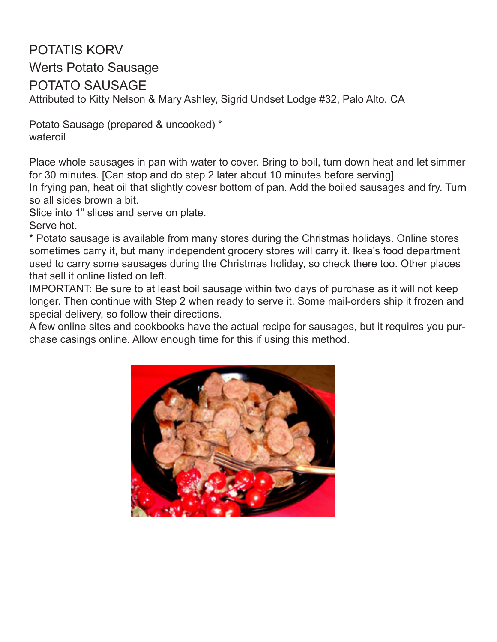## POTATIS KORV Werts Potato Sausage POTATO SAUSAGE Attributed to Kitty Nelson & Mary Ashley, Sigrid Undset Lodge #32, Palo Alto, CA

Potato Sausage (prepared & uncooked) \* wateroil

Place whole sausages in pan with water to cover. Bring to boil, turn down heat and let simmer for 30 minutes. [Can stop and do step 2 later about 10 minutes before serving] In frying pan, heat oil that slightly covesr bottom of pan. Add the boiled sausages and fry. Turn so all sides brown a bit.

Slice into 1" slices and serve on plate.

Serve hot.

\* Potato sausage is available from many stores during the Christmas holidays. Online stores sometimes carry it, but many independent grocery stores will carry it. Ikea's food department used to carry some sausages during the Christmas holiday, so check there too. Other places that sell it online listed on left.

IMPORTANT: Be sure to at least boil sausage within two days of purchase as it will not keep longer. Then continue with Step 2 when ready to serve it. Some mail-orders ship it frozen and special delivery, so follow their directions.

A few online sites and cookbooks have the actual recipe for sausages, but it requires you purchase casings online. Allow enough time for this if using this method.

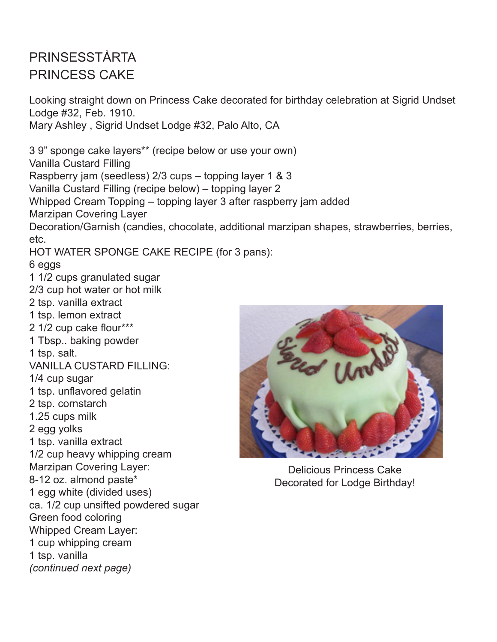# PRINSESSTÅRTA PRINCESS CAKE

Looking straight down on Princess Cake decorated for birthday celebration at Sigrid Undset Lodge #32, Feb. 1910. Mary Ashley , Sigrid Undset Lodge #32, Palo Alto, CA 3 9" sponge cake layers\*\* (recipe below or use your own) Vanilla Custard Filling Raspberry jam (seedless) 2/3 cups – topping layer 1 & 3 Vanilla Custard Filling (recipe below) – topping layer 2 Whipped Cream Topping – topping layer 3 after raspberry jam added Marzipan Covering Layer Decoration/Garnish (candies, chocolate, additional marzipan shapes, strawberries, berries, etc. HOT WATER SPONGE CAKE RECIPE (for 3 pans): 6 eggs 1 1/2 cups granulated sugar 2/3 cup hot water or hot milk 2 tsp. vanilla extract 1 tsp. lemon extract 2 1/2 cup cake flour\*\*\* 1 Tbsp.. baking powder 1 tsp. salt. VANILLA CUSTARD FILLING: 1/4 cup sugar 1 tsp. unflavored gelatin 2 tsp. cornstarch 1.25 cups milk 2 egg yolks 1 tsp. vanilla extract 1/2 cup heavy whipping cream Marzipan Covering Layer: 8-12 oz. almond paste\* 1 egg white (divided uses) ca. 1/2 cup unsifted powdered sugar Green food coloring Whipped Cream Layer: 1 cup whipping cream Delicious Princess Cake Decorated for Lodge Birthday!

1 tsp. vanilla *(continued next page)*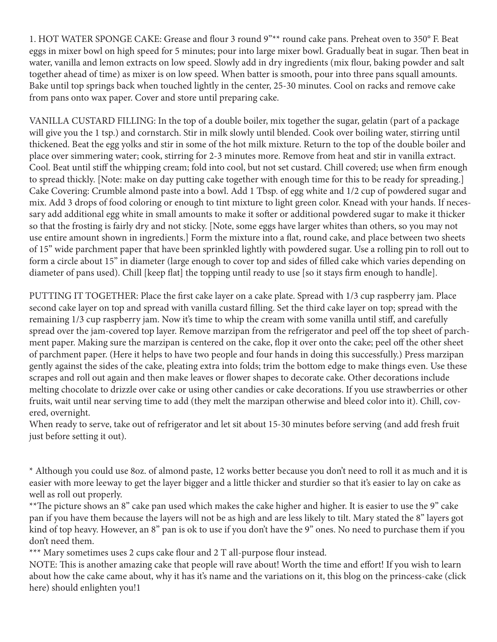1. HOT WATER SPONGE CAKE: Grease and flour 3 round 9"\*\* round cake pans. Preheat oven to 350° F. Beat eggs in mixer bowl on high speed for 5 minutes; pour into large mixer bowl. Gradually beat in sugar. Then beat in water, vanilla and lemon extracts on low speed. Slowly add in dry ingredients (mix flour, baking powder and salt together ahead of time) as mixer is on low speed. When batter is smooth, pour into three pans squall amounts. Bake until top springs back when touched lightly in the center, 25-30 minutes. Cool on racks and remove cake from pans onto wax paper. Cover and store until preparing cake.

VANILLA CUSTARD FILLING: In the top of a double boiler, mix together the sugar, gelatin (part of a package will give you the 1 tsp.) and cornstarch. Stir in milk slowly until blended. Cook over boiling water, stirring until thickened. Beat the egg yolks and stir in some of the hot milk mixture. Return to the top of the double boiler and place over simmering water; cook, stirring for 2-3 minutes more. Remove from heat and stir in vanilla extract. Cool. Beat until stiff the whipping cream; fold into cool, but not set custard. Chill covered; use when firm enough to spread thickly. [Note: make on day putting cake together with enough time for this to be ready for spreading.] Cake Covering: Crumble almond paste into a bowl. Add 1 Tbsp. of egg white and 1/2 cup of powdered sugar and mix. Add 3 drops of food coloring or enough to tint mixture to light green color. Knead with your hands. If necessary add additional egg white in small amounts to make it softer or additional powdered sugar to make it thicker so that the frosting is fairly dry and not sticky. [Note, some eggs have larger whites than others, so you may not use entire amount shown in ingredients.] Form the mixture into a flat, round cake, and place between two sheets of 15" wide parchment paper that have been sprinkled lightly with powdered sugar. Use a rolling pin to roll out to form a circle about 15" in diameter (large enough to cover top and sides of filled cake which varies depending on diameter of pans used). Chill [keep flat] the topping until ready to use [so it stays firm enough to handle].

PUTTING IT TOGETHER: Place the first cake layer on a cake plate. Spread with 1/3 cup raspberry jam. Place second cake layer on top and spread with vanilla custard filling. Set the third cake layer on top; spread with the remaining 1/3 cup raspberry jam. Now it's time to whip the cream with some vanilla until stiff, and carefully spread over the jam-covered top layer. Remove marzipan from the refrigerator and peel off the top sheet of parchment paper. Making sure the marzipan is centered on the cake, flop it over onto the cake; peel off the other sheet of parchment paper. (Here it helps to have two people and four hands in doing this successfully.) Press marzipan gently against the sides of the cake, pleating extra into folds; trim the bottom edge to make things even. Use these scrapes and roll out again and then make leaves or flower shapes to decorate cake. Other decorations include melting chocolate to drizzle over cake or using other candies or cake decorations. If you use strawberries or other fruits, wait until near serving time to add (they melt the marzipan otherwise and bleed color into it). Chill, covered, overnight.

When ready to serve, take out of refrigerator and let sit about 15-30 minutes before serving (and add fresh fruit just before setting it out).

\* Although you could use 8oz. of almond paste, 12 works better because you don't need to roll it as much and it is easier with more leeway to get the layer bigger and a little thicker and sturdier so that it's easier to lay on cake as well as roll out properly.

\*\*The picture shows an 8" cake pan used which makes the cake higher and higher. It is easier to use the 9" cake pan if you have them because the layers will not be as high and are less likely to tilt. Mary stated the 8" layers got kind of top heavy. However, an 8" pan is ok to use if you don't have the 9" ones. No need to purchase them if you don't need them.

\*\*\* Mary sometimes uses 2 cups cake flour and 2 T all-purpose flour instead.

NOTE: This is another amazing cake that people will rave about! Worth the time and effort! If you wish to learn about how the cake came about, why it has it's name and the variations on it, this blog on the princess-cake (click here) should enlighten you!1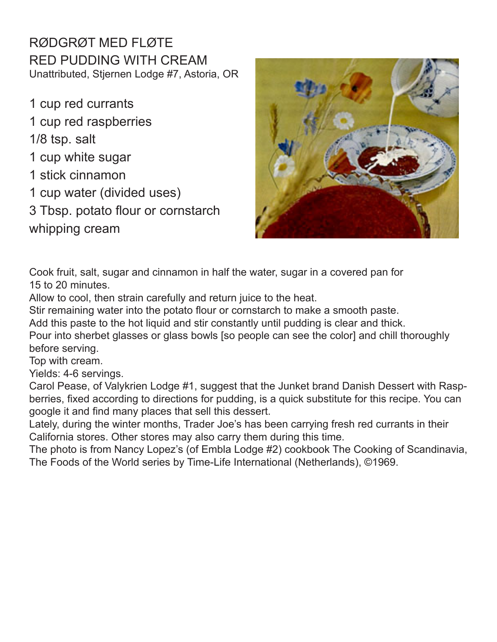RØDGRØT MED FLØTE RED PUDDING WITH CREAM Unattributed, Stjernen Lodge #7, Astoria, OR

1 cup red currants 1 cup red raspberries 1/8 tsp. salt 1 cup white sugar 1 stick cinnamon 1 cup water (divided uses) 3 Tbsp. potato flour or cornstarch whipping cream



Cook fruit, salt, sugar and cinnamon in half the water, sugar in a covered pan for 15 to 20 minutes.

Allow to cool, then strain carefully and return juice to the heat.

Stir remaining water into the potato flour or cornstarch to make a smooth paste.

Add this paste to the hot liquid and stir constantly until pudding is clear and thick.

Pour into sherbet glasses or glass bowls [so people can see the color] and chill thoroughly before serving.

Top with cream.

Yields: 4-6 servings.

Carol Pease, of Valykrien Lodge #1, suggest that the Junket brand Danish Dessert with Raspberries, fixed according to directions for pudding, is a quick substitute for this recipe. You can google it and find many places that sell this dessert.

Lately, during the winter months, Trader Joe's has been carrying fresh red currants in their California stores. Other stores may also carry them during this time.

The photo is from Nancy Lopez's (of Embla Lodge #2) cookbook The Cooking of Scandinavia, The Foods of the World series by Time-Life International (Netherlands), ©1969.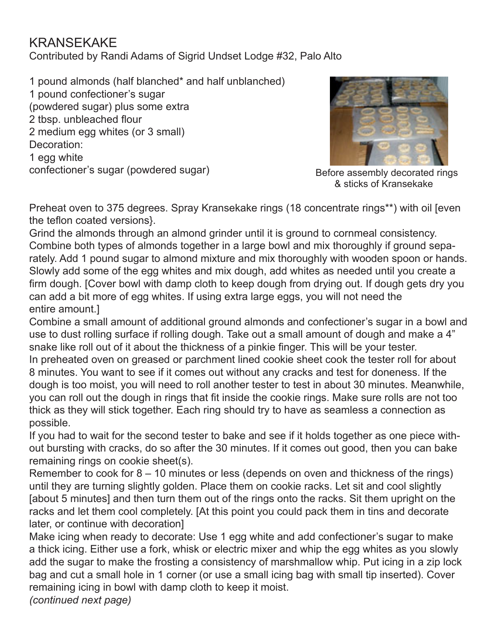## KRANSEKAKE

Contributed by Randi Adams of Sigrid Undset Lodge #32, Palo Alto

1 pound almonds (half blanched\* and half unblanched) 1 pound confectioner's sugar (powdered sugar) plus some extra 2 tbsp. unbleached flour 2 medium egg whites (or 3 small) Decoration: 1 egg white confectioner's sugar (powdered sugar)



Before assembly decorated rings & sticks of Kransekake

Preheat oven to 375 degrees. Spray Kransekake rings (18 concentrate rings\*\*) with oil [even the teflon coated versions}.

Grind the almonds through an almond grinder until it is ground to cornmeal consistency. Combine both types of almonds together in a large bowl and mix thoroughly if ground separately. Add 1 pound sugar to almond mixture and mix thoroughly with wooden spoon or hands. Slowly add some of the egg whites and mix dough, add whites as needed until you create a firm dough. [Cover bowl with damp cloth to keep dough from drying out. If dough gets dry you can add a bit more of egg whites. If using extra large eggs, you will not need the entire amount.]

Combine a small amount of additional ground almonds and confectioner's sugar in a bowl and use to dust rolling surface if rolling dough. Take out a small amount of dough and make a 4" snake like roll out of it about the thickness of a pinkie finger. This will be your tester. In preheated oven on greased or parchment lined cookie sheet cook the tester roll for about 8 minutes. You want to see if it comes out without any cracks and test for doneness. If the dough is too moist, you will need to roll another tester to test in about 30 minutes. Meanwhile, you can roll out the dough in rings that fit inside the cookie rings. Make sure rolls are not too thick as they will stick together. Each ring should try to have as seamless a connection as possible.

If you had to wait for the second tester to bake and see if it holds together as one piece without bursting with cracks, do so after the 30 minutes. If it comes out good, then you can bake remaining rings on cookie sheet(s).

Remember to cook for 8 – 10 minutes or less (depends on oven and thickness of the rings) until they are turning slightly golden. Place them on cookie racks. Let sit and cool slightly [about 5 minutes] and then turn them out of the rings onto the racks. Sit them upright on the racks and let them cool completely. [At this point you could pack them in tins and decorate later, or continue with decoration]

Make icing when ready to decorate: Use 1 egg white and add confectioner's sugar to make a thick icing. Either use a fork, whisk or electric mixer and whip the egg whites as you slowly add the sugar to make the frosting a consistency of marshmallow whip. Put icing in a zip lock bag and cut a small hole in 1 corner (or use a small icing bag with small tip inserted). Cover remaining icing in bowl with damp cloth to keep it moist. *(continued next page)*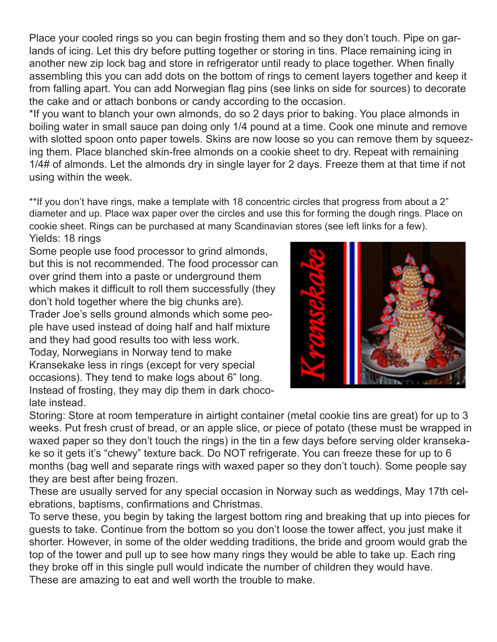Place your cooled rings so you can begin frosting them and so they don't touch. Pipe on garlands of icing. Let this dry before putting together or storing in tins. Place remaining icing in another new zip lock bag and store in refrigerator until ready to place together. When finally assembling this you can add dots on the bottom of rings to cement layers together and keep it from falling apart. You can add Norwegian flag pins (see links on side for sources) to decorate the cake and or attach bonbons or candy according to the occasion.

\*If you want to blanch your own almonds, do so 2 days prior to baking. You place almonds in boiling water in small sauce pan doing only 1/4 pound at a time. Cook one minute and remove with slotted spoon onto paper towels. Skins are now loose so you can remove them by squeezing them. Place blanched skin-free almonds on a cookie sheet to dry. Repeat with remaining 1/4# of almonds. Let the almonds dry in single layer for 2 days. Freeze them at that time if not using within the week.

\*\*If you don't have rings, make a template with 18 concentric circles that progress from about a 2" diameter and up. Place wax paper over the circles and use this for forming the dough rings. Place on cookie sheet. Rings can be purchased at many Scandinavian stores (see left links for a few). Yields: 18 rings

Some people use food processor to grind almonds, but this is not recommended. The food processor can over grind them into a paste or underground them which makes it difficult to roll them successfully (they don't hold together where the big chunks are). Trader Joe's sells ground almonds which some people have used instead of doing half and half mixture and they had good results too with less work. Today, Norwegians in Norway tend to make Kransekake less in rings (except for very special occasions). They tend to make logs about 6" long. Instead of frosting, they may dip them in dark chocolate instead.



Storing: Store at room temperature in airtight container (metal cookie tins are great) for up to 3 weeks. Put fresh crust of bread, or an apple slice, or piece of potato (these must be wrapped in waxed paper so they don't touch the rings) in the tin a few days before serving older kransekake so it gets it's "chewy" texture back. Do NOT refrigerate. You can freeze these for up to 6 months (bag well and separate rings with waxed paper so they don't touch). Some people say they are best after being frozen.

These are usually served for any special occasion in Norway such as weddings, May 17th celebrations, baptisms, confirmations and Christmas.

To serve these, you begin by taking the largest bottom ring and breaking that up into pieces for guests to take. Continue from the bottom so you don't loose the tower affect, you just make it shorter. However, in some of the older wedding traditions, the bride and groom would grab the top of the tower and pull up to see how many rings they would be able to take up. Each ring they broke off in this single pull would indicate the number of children they would have. These are amazing to eat and well worth the trouble to make.